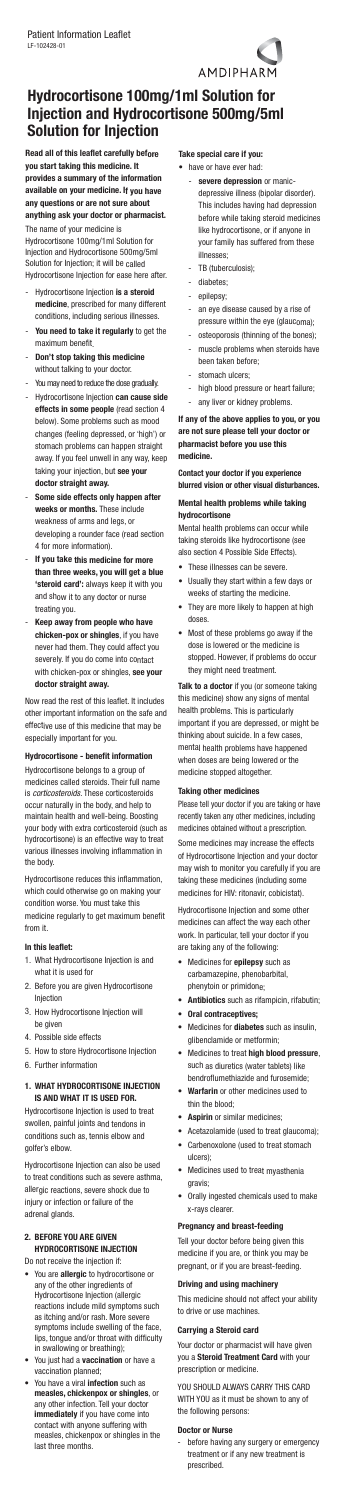**Read all of this leaflet carefully before you start taking this medicine. It provides <sup>a</sup> summary of the information available on your medicine. If you have any questions or are not sure about anything ask your doctor or pharmacist.**

The name of your medicine is Hydrocortisone 100mg/1ml Solution for Injection and Hydrocortisone 500mg/5ml Solution for Injection; it will be called Hydrocortisone Injection for ease here after.

- - Hydrocortisone Injection **is <sup>a</sup> steroid medicine**, prescribed for many different conditions, including serious illnesses.
- **You need to take it regularly** to get the maximum benefit.
- **Don't stop taking this medicine** without talking to your doctor.
- Youmay need to reduce the dose gradually.
- Hydrocortisone Injection **can cause side effects in some people** (read section 4 below). Some problems such as mood changes (feeling depressed, or 'high') or stomach problems can happen straight away. If you feel unwell in any way, keep taking your injection, but **see your doctor straight away.**
- **Some side effects only happen after weeks or months.** These include weakness of arms and legs, or developing <sup>a</sup> rounder face (read section 4 for more information).
- **If you take this medicine for more than three weeks, you will get <sup>a</sup> blue 'steroid card':** always keep it with you and show it to any doctor or nurse treating you.
- **Keep away from people who have chicken-pox or shingles**, if you have never had them. They could affect you severely. If you do come into contact with chicken-pox or shingles, **see your doctor straight away.**

Now read the rest of this leaflet. It includes other important information on the safe and effective use of this medicine that may be especially important for you.

# **Hydrocortisone - benefit information**

Hydrocortisone belongs to <sup>a</sup> group of medicines called steroids. Their full name is *corticosteroids*. These corticosteroids occur naturally in the body, and help to maintain health and well-being. Boosting your body with extra corticosteroid (such as hydrocortisone) is an effective way to treat various illnesses involving inflammation in the body.

- have or have ever had
	- **severe depression** or manicdepressive illness (bipolar disorder). This includes having had depression before while taking steroid medicines like hydrocortisone, or if anyone in your family has suffered from these illnesses;
	- -TB (tuberculosis);
	- diabetes;
	- epilepsy;
	- an eye disease caused by <sup>a</sup> rise of pressure within the eye (glaucoma);
	- osteoporosis (thinning of the bones);
	- muscle problems when steroids have been taken before;
	- stomach ulcers;
	- high blood pressure or heart failure;
	- any liver or kidney problems.

Hydrocortisone reduces this inflammation, which could otherwise go on making your condition worse. You must take this medicine regularly to get maximum benefit from it.

#### **In this leaflet:**

- 1. What Hydrocortisone Injection is and what it is used for
- 2. Before you are given Hydrocortisone Injection
- 3. How Hydrocortisone Injection will be given
- 4. Possible side effects
- 5. How to store Hydrocortisone Injection
- 6. Further information

#### **1. WHAT HYDROCORTISONE INJECTION IS AND WHAT IT IS USED FOR.**

Hydrocortisone Injection is used to treat swollen, painful joints and tendons in conditions such as, tennis elbow and golfer's elbow.

Hydrocortisone Injection can also be used to treat conditions such as severe asthma, allergic reactions, severe shock due to injury or infection or failure of the adrenal glands.

# **2. BEFORE YOU ARE GIVEN HYDROCORTISONE INJECTION**

Do not receive the injection if:

- You are **allergic** to hydrocortisone or any of the other ingredients of Hydrocortisone Injection (allergic reactions include mild symptoms such as itching and/or rash. More severe symptoms include swelling of the face, lips, tongue and/or throat with difficulty in swallowing or breathing);
- You just had <sup>a</sup> **vaccination** or have <sup>a</sup> vaccination planned;
- You have a viral **infection** such as **measles, chickenpox or shingles**, or any other infection. Tell your doctor **immediately** if you have come into contact with anyone suffering with measles, chickenpox or shingles in the last three months.

# **Take special care if you:**

**If any of the above applies to you, or you are not sure please tell your doctor or pharmacist before you use this medicine.**

**Contact your doctor if you experience blurred vision or other visual disturbances.**

# **Mental health problems while taking hydrocortisone**

Mental health problems can occur while taking steroids like hydrocortisone (see also section 4 Possible Side Effects).

- These illnesses can be severe.
- Usually they start within <sup>a</sup> few days or weeks of starting the medicine.
- They are more likely to happen at high doses.
- Most of these problems go away if the dose is lowered or the medicine is stopped. However, if problems do occur they might need treatment.

**Talk to <sup>a</sup> doctor** if you (or someone taking this medicine) show any signs of mental health problems. This is particularly important if you are depressed, or might be thinking about suicide. In <sup>a</sup> few cases, mental health problems have happened when doses are being lowered or the medicine stopped altogether.

#### **Taking other medicines**

Please tell your doctor if you are taking or have recently taken any other medicines, including medicines obtained without <sup>a</sup> prescription.

Some medicines may increase the effects of Hydrocortisone Injection and your doctor may wish to monitor you carefully if you are taking these medicines (including some medicines for HIV: ritonavir, cobicistat).

Hydrocortisone Injection and some other medicines can affect the way each other work. In particular, tell your doctor if you are taking any of the following:

- • Medicines for **epilepsy** such as carbamazepine, phenobarbital, phenytoin or primidone;
- **Antibiotics** such as rifampicin, rifabutin;
- **Oral contraceptives;**
- Medicines for **diabetes** such as insulin, glibenclamide or metformin;
- Medicines to treat **high blood pressure**, such as diuretics (water tablets) like bendroflumethiazide and furosemide;
- **Warfarin** or other medicines used to thin the blood;
- **Aspirin** or similar medicines;
- Acetazolamide (used to treat glaucoma);
- Carbenoxolone (used to treat stomach ulcers);
- Medicines used to treat myasthenia gravis;
- Orally ingested chemicals used to make x-rays clearer.

#### **Pregnancy and breast-feeding**

Tell your doctor before being given this medicine if you are, or think you may be pregnant, or if you are breast-feeding.

### **Driving and using machinery**

This medicine should not affect your ability to drive or use machines.

### **Carrying <sup>a</sup> Steroid card**

Your doctor or pharmacist will have given you <sup>a</sup> **Steroid Treatment Card** with your prescription or medicine.

YOU SHOULD ALWAYS CARRY THIS CARD WITH YOU as it must be shown to any of the following persons:

#### **Doctor or Nurse**

 before having any surgery or emergency treatment or if any new treatment is prescribed.

AMDIPHARM

# **Hydrocortisone 100mg/1ml Solution for Injection and Hydrocortisone 500mg/5ml Solution for Injection**